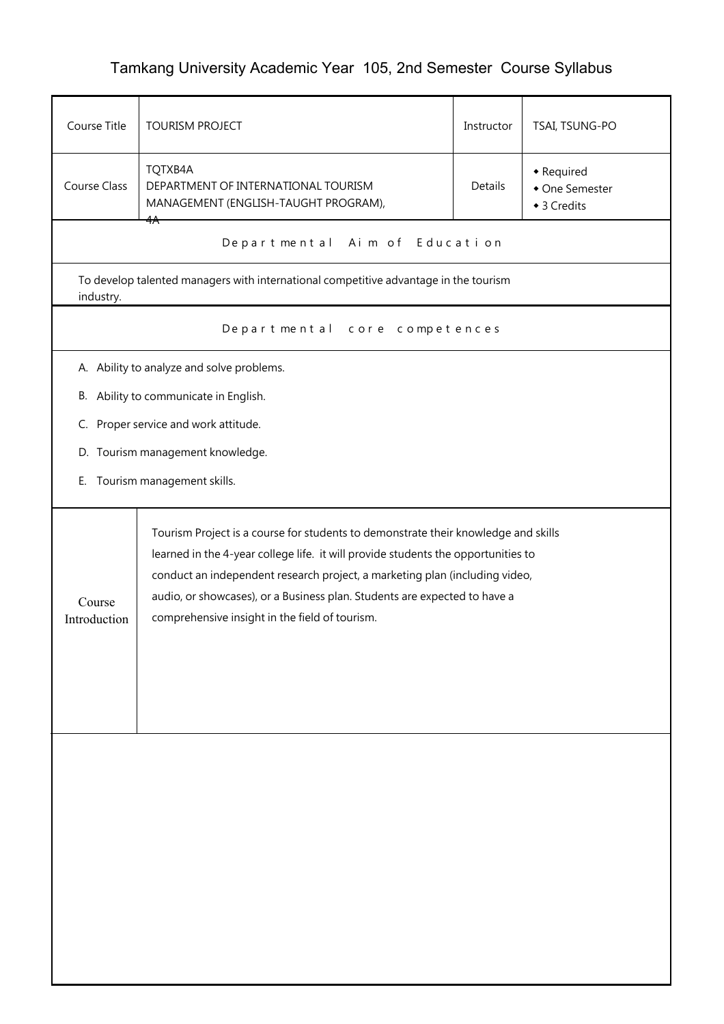## Tamkang University Academic Year 105, 2nd Semester Course Syllabus

| Course Title                                                                                                                                                                                                                                                                                                                                                                                                    | TSAI, TSUNG-PO<br><b>TOURISM PROJECT</b><br>Instructor                               |         |                                             |
|-----------------------------------------------------------------------------------------------------------------------------------------------------------------------------------------------------------------------------------------------------------------------------------------------------------------------------------------------------------------------------------------------------------------|--------------------------------------------------------------------------------------|---------|---------------------------------------------|
| TQTXB4A<br><b>Course Class</b><br>DEPARTMENT OF INTERNATIONAL TOURISM<br>MANAGEMENT (ENGLISH-TAUGHT PROGRAM),                                                                                                                                                                                                                                                                                                   |                                                                                      | Details | • Required<br>• One Semester<br>◆ 3 Credits |
|                                                                                                                                                                                                                                                                                                                                                                                                                 | ¥ <del>∧</del><br>Departmental Aim of Education                                      |         |                                             |
| industry.                                                                                                                                                                                                                                                                                                                                                                                                       | To develop talented managers with international competitive advantage in the tourism |         |                                             |
|                                                                                                                                                                                                                                                                                                                                                                                                                 | Departmental core competences                                                        |         |                                             |
|                                                                                                                                                                                                                                                                                                                                                                                                                 | A. Ability to analyze and solve problems.                                            |         |                                             |
| В.                                                                                                                                                                                                                                                                                                                                                                                                              | Ability to communicate in English.                                                   |         |                                             |
| C.                                                                                                                                                                                                                                                                                                                                                                                                              | Proper service and work attitude.                                                    |         |                                             |
|                                                                                                                                                                                                                                                                                                                                                                                                                 | D. Tourism management knowledge.                                                     |         |                                             |
| Ε.                                                                                                                                                                                                                                                                                                                                                                                                              | Tourism management skills.                                                           |         |                                             |
| Tourism Project is a course for students to demonstrate their knowledge and skills<br>learned in the 4-year college life. it will provide students the opportunities to<br>conduct an independent research project, a marketing plan (including video,<br>audio, or showcases), or a Business plan. Students are expected to have a<br>Course<br>comprehensive insight in the field of tourism.<br>Introduction |                                                                                      |         |                                             |
|                                                                                                                                                                                                                                                                                                                                                                                                                 |                                                                                      |         |                                             |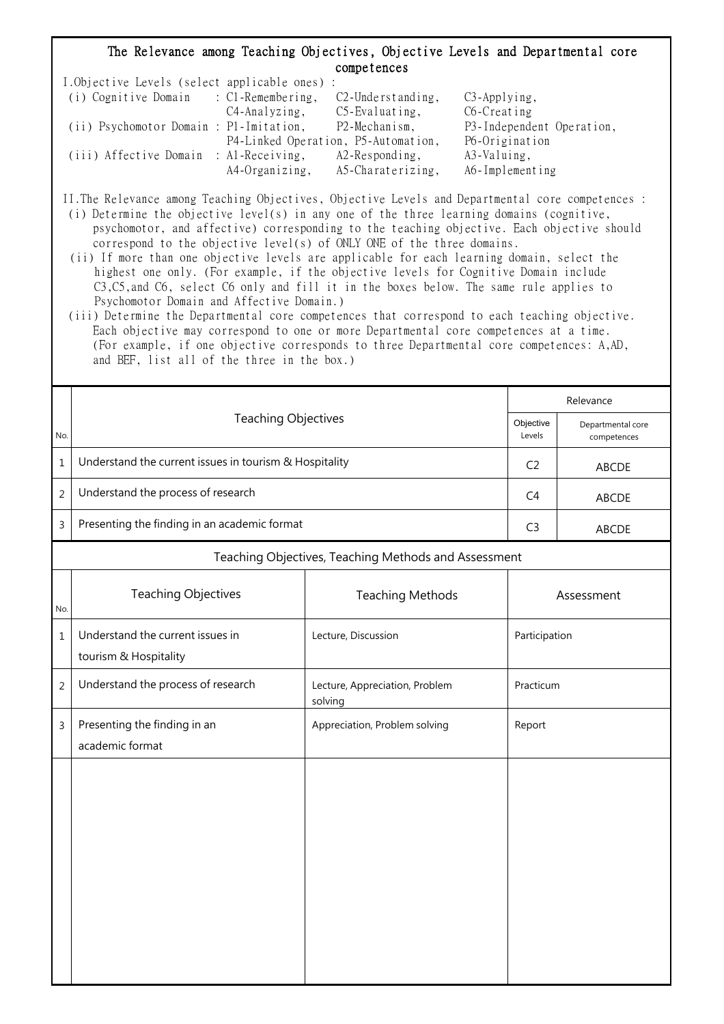## The Relevance among Teaching Objectives, Objective Levels and Departmental core competences

| I.Objective Levels (select applicable ones) : |                |                                     |                           |
|-----------------------------------------------|----------------|-------------------------------------|---------------------------|
| (i) Cognitive Domain : C1-Remembering,        |                | $C2$ -Understanding,                | $C3$ -Applying,           |
|                                               | C4-Analyzing,  | $C5$ -Evaluating,                   | C6-Creating               |
| (ii) Psychomotor Domain : P1-Imitation,       |                | P2-Mechanism,                       | P3-Independent Operation, |
|                                               |                | P4-Linked Operation, P5-Automation, | P6-Origination            |
| (iii) Affective Domain : Al-Receiving,        |                | $A2$ -Responding,                   | A3-Valuing,               |
|                                               | A4-Organizing, | A5-Charaterizing,                   | A6-Implementing           |

II.The Relevance among Teaching Objectives, Objective Levels and Departmental core competences :

- (i) Determine the objective level(s) in any one of the three learning domains (cognitive, psychomotor, and affective) corresponding to the teaching objective. Each objective should correspond to the objective level(s) of ONLY ONE of the three domains.
- (ii) If more than one objective levels are applicable for each learning domain, select the highest one only. (For example, if the objective levels for Cognitive Domain include C3,C5,and C6, select C6 only and fill it in the boxes below. The same rule applies to Psychomotor Domain and Affective Domain.)
- (iii) Determine the Departmental core competences that correspond to each teaching objective. Each objective may correspond to one or more Departmental core competences at a time. (For example, if one objective corresponds to three Departmental core competences: A,AD, and BEF, list all of the three in the box.)

|                |                                                           |                                           |                                  | Relevance |  |  |  |  |
|----------------|-----------------------------------------------------------|-------------------------------------------|----------------------------------|-----------|--|--|--|--|
| No.            | <b>Teaching Objectives</b>                                | Objective<br>Levels                       | Departmental core<br>competences |           |  |  |  |  |
| $\mathbf{1}$   | Understand the current issues in tourism & Hospitality    | C <sub>2</sub>                            | <b>ABCDE</b>                     |           |  |  |  |  |
| $\overline{2}$ | Understand the process of research                        | C <sub>4</sub>                            | <b>ABCDE</b>                     |           |  |  |  |  |
| 3              | Presenting the finding in an academic format              | C <sub>3</sub>                            | ABCDE                            |           |  |  |  |  |
|                | Teaching Objectives, Teaching Methods and Assessment      |                                           |                                  |           |  |  |  |  |
| No.            | <b>Teaching Objectives</b>                                | <b>Teaching Methods</b>                   | Assessment                       |           |  |  |  |  |
| $\mathbf{1}$   | Understand the current issues in<br>tourism & Hospitality | Lecture, Discussion                       | Participation                    |           |  |  |  |  |
| $\overline{c}$ | Understand the process of research                        | Lecture, Appreciation, Problem<br>solving | Practicum                        |           |  |  |  |  |
| 3              | Presenting the finding in an<br>academic format           | Appreciation, Problem solving             | Report                           |           |  |  |  |  |
|                |                                                           |                                           |                                  |           |  |  |  |  |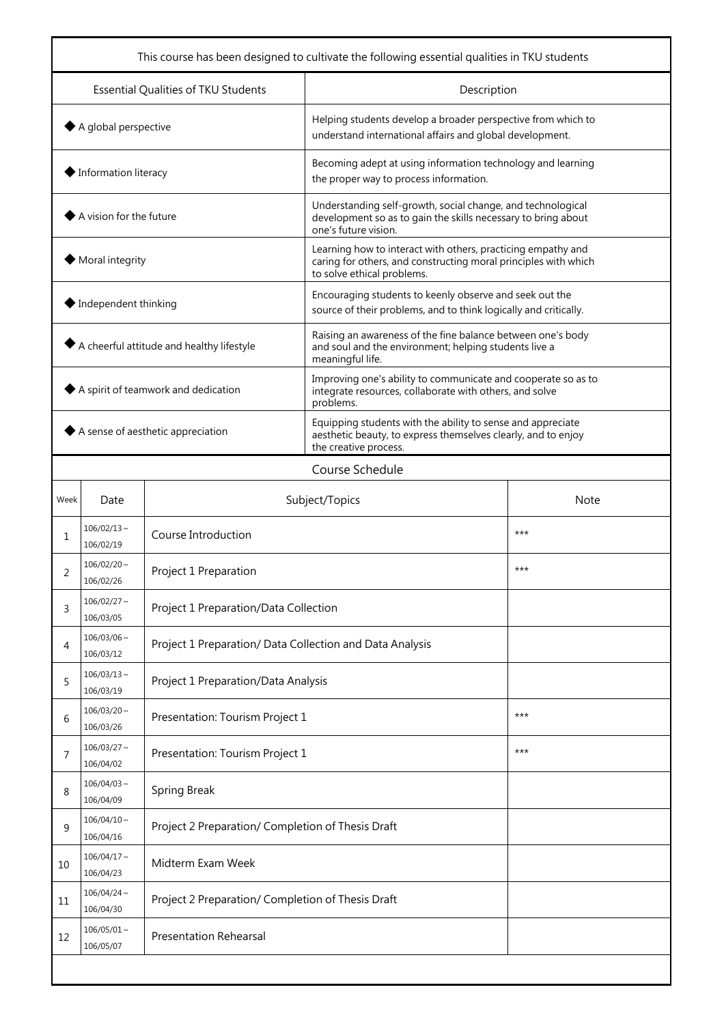| This course has been designed to cultivate the following essential qualities in TKU students |                               |                                                          |                                                                                                                                                               |       |  |  |
|----------------------------------------------------------------------------------------------|-------------------------------|----------------------------------------------------------|---------------------------------------------------------------------------------------------------------------------------------------------------------------|-------|--|--|
| Essential Qualities of TKU Students                                                          |                               |                                                          | Description                                                                                                                                                   |       |  |  |
| $\blacklozenge$ A global perspective                                                         |                               |                                                          | Helping students develop a broader perspective from which to<br>understand international affairs and global development.                                      |       |  |  |
| $\blacklozenge$ Information literacy                                                         |                               |                                                          | Becoming adept at using information technology and learning<br>the proper way to process information.                                                         |       |  |  |
| A vision for the future                                                                      |                               |                                                          | Understanding self-growth, social change, and technological<br>development so as to gain the skills necessary to bring about<br>one's future vision.          |       |  |  |
| Moral integrity                                                                              |                               |                                                          | Learning how to interact with others, practicing empathy and<br>caring for others, and constructing moral principles with which<br>to solve ethical problems. |       |  |  |
| $\blacklozenge$ Independent thinking                                                         |                               |                                                          | Encouraging students to keenly observe and seek out the<br>source of their problems, and to think logically and critically.                                   |       |  |  |
| $\blacklozenge$ A cheerful attitude and healthy lifestyle                                    |                               |                                                          | Raising an awareness of the fine balance between one's body<br>and soul and the environment; helping students live a<br>meaningful life.                      |       |  |  |
| A spirit of teamwork and dedication                                                          |                               |                                                          | Improving one's ability to communicate and cooperate so as to<br>integrate resources, collaborate with others, and solve<br>problems.                         |       |  |  |
| $\blacklozenge$ A sense of aesthetic appreciation                                            |                               |                                                          | Equipping students with the ability to sense and appreciate<br>aesthetic beauty, to express themselves clearly, and to enjoy<br>the creative process.         |       |  |  |
|                                                                                              |                               |                                                          | Course Schedule                                                                                                                                               |       |  |  |
| Week                                                                                         | Date                          | Subject/Topics                                           | Note                                                                                                                                                          |       |  |  |
| 1                                                                                            | $106/02/13 \sim$<br>106/02/19 | Course Introduction                                      |                                                                                                                                                               | $***$ |  |  |
| 2                                                                                            | $106/02/20$ ~<br>106/02/26    | Project 1 Preparation                                    |                                                                                                                                                               | $***$ |  |  |
| 3                                                                                            | $106/02/27$ ~<br>106/03/05    | Project 1 Preparation/Data Collection                    |                                                                                                                                                               |       |  |  |
| 4                                                                                            | $106/03/06$ ~<br>106/03/12    | Project 1 Preparation/ Data Collection and Data Analysis |                                                                                                                                                               |       |  |  |
| 5                                                                                            | $106/03/13 \sim$<br>106/03/19 | Project 1 Preparation/Data Analysis                      |                                                                                                                                                               |       |  |  |
| 6                                                                                            | $106/03/20$ ~<br>106/03/26    | Presentation: Tourism Project 1                          | $***$                                                                                                                                                         |       |  |  |
| 7                                                                                            | $106/03/27$ ~<br>106/04/02    | Presentation: Tourism Project 1                          | $***$                                                                                                                                                         |       |  |  |
| 8                                                                                            | $106/04/03 \sim$<br>106/04/09 | <b>Spring Break</b>                                      |                                                                                                                                                               |       |  |  |
| 9                                                                                            | $106/04/10 \sim$<br>106/04/16 | Project 2 Preparation/ Completion of Thesis Draft        |                                                                                                                                                               |       |  |  |
| 10                                                                                           | $106/04/17 \sim$<br>106/04/23 | Midterm Exam Week                                        |                                                                                                                                                               |       |  |  |
| 11                                                                                           | $106/04/24$ ~<br>106/04/30    | Project 2 Preparation/ Completion of Thesis Draft        |                                                                                                                                                               |       |  |  |
| 12                                                                                           | $106/05/01$ ~<br>106/05/07    | <b>Presentation Rehearsal</b>                            |                                                                                                                                                               |       |  |  |
|                                                                                              |                               |                                                          |                                                                                                                                                               |       |  |  |